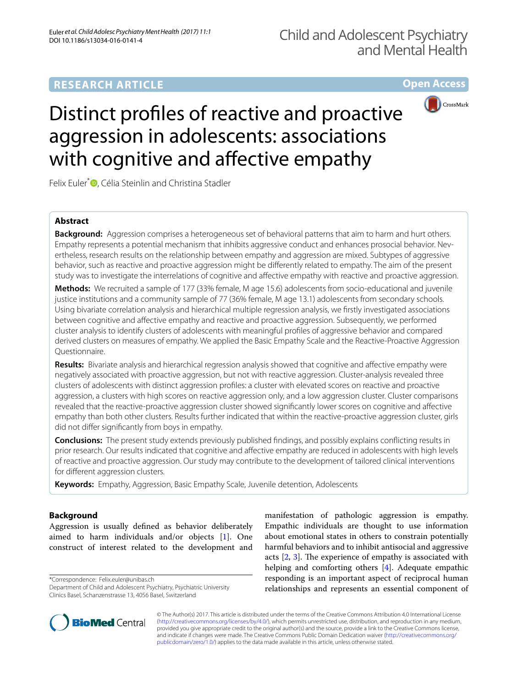# **RESEARCH ARTICLE**

**Open Access**



# Distinct profiles of reactive and proactive aggression in adolescents: associations with cognitive and affective empathy

Felix Euler<sup>\*</sup><sup>D</sup>[,](http://orcid.org/0000-0002-8627-1885) Célia Steinlin and Christina Stadler

# **Abstract**

**Background:** Aggression comprises a heterogeneous set of behavioral patterns that aim to harm and hurt others. Empathy represents a potential mechanism that inhibits aggressive conduct and enhances prosocial behavior. Nevertheless, research results on the relationship between empathy and aggression are mixed. Subtypes of aggressive behavior, such as reactive and proactive aggression might be differently related to empathy. The aim of the present study was to investigate the interrelations of cognitive and affective empathy with reactive and proactive aggression.

**Methods:** We recruited a sample of 177 (33% female, M age 15.6) adolescents from socio-educational and juvenile justice institutions and a community sample of 77 (36% female, M age 13.1) adolescents from secondary schools. Using bivariate correlation analysis and hierarchical multiple regression analysis, we firstly investigated associations between cognitive and affective empathy and reactive and proactive aggression. Subsequently, we performed cluster analysis to identify clusters of adolescents with meaningful profiles of aggressive behavior and compared derived clusters on measures of empathy. We applied the Basic Empathy Scale and the Reactive-Proactive Aggression Questionnaire.

**Results:** Bivariate analysis and hierarchical regression analysis showed that cognitive and affective empathy were negatively associated with proactive aggression, but not with reactive aggression. Cluster-analysis revealed three clusters of adolescents with distinct aggression profiles: a cluster with elevated scores on reactive and proactive aggression, a clusters with high scores on reactive aggression only, and a low aggression cluster. Cluster comparisons revealed that the reactive-proactive aggression cluster showed significantly lower scores on cognitive and affective empathy than both other clusters. Results further indicated that within the reactive-proactive aggression cluster, girls did not differ significantly from boys in empathy.

**Conclusions:** The present study extends previously published findings, and possibly explains conflicting results in prior research. Our results indicated that cognitive and affective empathy are reduced in adolescents with high levels of reactive and proactive aggression. Our study may contribute to the development of tailored clinical interventions for different aggression clusters.

**Keywords:** Empathy, Aggression, Basic Empathy Scale, Juvenile detention, Adolescents

# **Background**

Aggression is usually defined as behavior deliberately aimed to harm individuals and/or objects [\[1\]](#page-12-0). One construct of interest related to the development and

\*Correspondence: Felix.euler@unibas.ch

Department of Child and Adolescent Psychiatry, Psychiatric University Clinics Basel, Schanzenstrasse 13, 4056 Basel, Switzerland

manifestation of pathologic aggression is empathy. Empathic individuals are thought to use information about emotional states in others to constrain potentially harmful behaviors and to inhibit antisocial and aggressive acts [\[2](#page-12-1), [3](#page-12-2)]. The experience of empathy is associated with helping and comforting others [\[4](#page-12-3)]. Adequate empathic responding is an important aspect of reciprocal human relationships and represents an essential component of



© The Author(s) 2017. This article is distributed under the terms of the Creative Commons Attribution 4.0 International License [\(http://creativecommons.org/licenses/by/4.0/\)](http://creativecommons.org/licenses/by/4.0/), which permits unrestricted use, distribution, and reproduction in any medium, provided you give appropriate credit to the original author(s) and the source, provide a link to the Creative Commons license, and indicate if changes were made. The Creative Commons Public Domain Dedication waiver ([http://creativecommons.org/](http://creativecommons.org/publicdomain/zero/1.0/) [publicdomain/zero/1.0/](http://creativecommons.org/publicdomain/zero/1.0/)) applies to the data made available in this article, unless otherwise stated.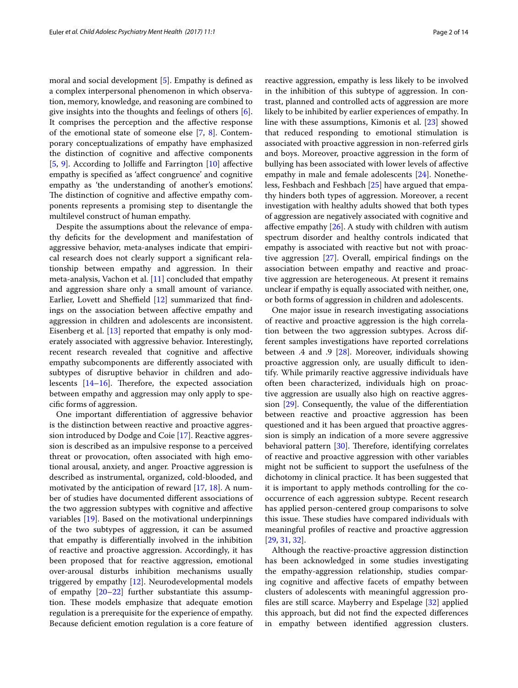moral and social development [\[5](#page-12-4)]. Empathy is defined as a complex interpersonal phenomenon in which observation, memory, knowledge, and reasoning are combined to give insights into the thoughts and feelings of others [\[6](#page-12-5)]. It comprises the perception and the affective response of the emotional state of someone else [[7,](#page-12-6) [8\]](#page-12-7). Contemporary conceptualizations of empathy have emphasized the distinction of cognitive and affective components [[5,](#page-12-4) [9](#page-12-8)]. According to Jolliffe and Farrington [\[10\]](#page-12-9) affective empathy is specified as 'affect congruence' and cognitive empathy as 'the understanding of another's emotions'. The distinction of cognitive and affective empathy components represents a promising step to disentangle the multilevel construct of human empathy.

Despite the assumptions about the relevance of empathy deficits for the development and manifestation of aggressive behavior, meta-analyses indicate that empirical research does not clearly support a significant relationship between empathy and aggression. In their meta-analysis, Vachon et al. [\[11](#page-12-10)] concluded that empathy and aggression share only a small amount of variance. Earlier, Lovett and Sheffield [[12\]](#page-12-11) summarized that findings on the association between affective empathy and aggression in children and adolescents are inconsistent. Eisenberg et al. [[13\]](#page-12-12) reported that empathy is only moderately associated with aggressive behavior. Interestingly, recent research revealed that cognitive and affective empathy subcomponents are differently associated with subtypes of disruptive behavior in children and adolescents [\[14](#page-12-13)–[16\]](#page-12-14). Therefore, the expected association between empathy and aggression may only apply to specific forms of aggression.

One important differentiation of aggressive behavior is the distinction between reactive and proactive aggression introduced by Dodge and Coie [[17](#page-12-15)]. Reactive aggression is described as an impulsive response to a perceived threat or provocation, often associated with high emotional arousal, anxiety, and anger. Proactive aggression is described as instrumental, organized, cold-blooded, and motivated by the anticipation of reward [[17,](#page-12-15) [18](#page-12-16)]. A number of studies have documented different associations of the two aggression subtypes with cognitive and affective variables [\[19](#page-12-17)]. Based on the motivational underpinnings of the two subtypes of aggression, it can be assumed that empathy is differentially involved in the inhibition of reactive and proactive aggression. Accordingly, it has been proposed that for reactive aggression, emotional over-arousal disturbs inhibition mechanisms usually triggered by empathy [\[12](#page-12-11)]. Neurodevelopmental models of empathy [\[20](#page-12-18)[–22](#page-12-19)] further substantiate this assumption. These models emphasize that adequate emotion regulation is a prerequisite for the experience of empathy. Because deficient emotion regulation is a core feature of reactive aggression, empathy is less likely to be involved in the inhibition of this subtype of aggression. In contrast, planned and controlled acts of aggression are more likely to be inhibited by earlier experiences of empathy. In line with these assumptions, Kimonis et al. [\[23\]](#page-12-20) showed that reduced responding to emotional stimulation is associated with proactive aggression in non-referred girls and boys. Moreover, proactive aggression in the form of bullying has been associated with lower levels of affective empathy in male and female adolescents [[24\]](#page-12-21). Nonetheless, Feshbach and Feshbach [\[25](#page-12-22)] have argued that empathy hinders both types of aggression. Moreover, a recent investigation with healthy adults showed that both types of aggression are negatively associated with cognitive and affective empathy [\[26\]](#page-12-23). A study with children with autism spectrum disorder and healthy controls indicated that empathy is associated with reactive but not with proactive aggression [\[27](#page-12-24)]. Overall, empirical findings on the association between empathy and reactive and proactive aggression are heterogeneous. At present it remains unclear if empathy is equally associated with neither, one, or both forms of aggression in children and adolescents.

One major issue in research investigating associations of reactive and proactive aggression is the high correlation between the two aggression subtypes. Across different samples investigations have reported correlations between .4 and .9 [\[28](#page-12-25)]. Moreover, individuals showing proactive aggression only, are usually difficult to identify. While primarily reactive aggressive individuals have often been characterized, individuals high on proactive aggression are usually also high on reactive aggression [[29\]](#page-12-26). Consequently, the value of the differentiation between reactive and proactive aggression has been questioned and it has been argued that proactive aggression is simply an indication of a more severe aggressive behavioral pattern [\[30\]](#page-12-27). Therefore, identifying correlates of reactive and proactive aggression with other variables might not be sufficient to support the usefulness of the dichotomy in clinical practice. It has been suggested that it is important to apply methods controlling for the cooccurrence of each aggression subtype. Recent research has applied person-centered group comparisons to solve this issue. These studies have compared individuals with meaningful profiles of reactive and proactive aggression [[29,](#page-12-26) [31](#page-12-28), [32\]](#page-12-29).

Although the reactive-proactive aggression distinction has been acknowledged in some studies investigating the empathy-aggression relationship, studies comparing cognitive and affective facets of empathy between clusters of adolescents with meaningful aggression profiles are still scarce. Mayberry and Espelage [\[32](#page-12-29)] applied this approach, but did not find the expected differences in empathy between identified aggression clusters.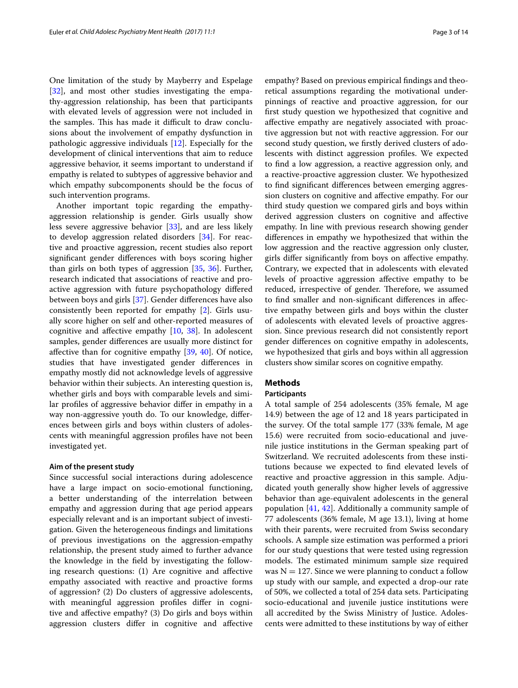One limitation of the study by Mayberry and Espelage [[32\]](#page-12-29), and most other studies investigating the empathy-aggression relationship, has been that participants with elevated levels of aggression were not included in the samples. This has made it difficult to draw conclusions about the involvement of empathy dysfunction in pathologic aggressive individuals [\[12](#page-12-11)]. Especially for the development of clinical interventions that aim to reduce aggressive behavior, it seems important to understand if empathy is related to subtypes of aggressive behavior and which empathy subcomponents should be the focus of such intervention programs.

Another important topic regarding the empathyaggression relationship is gender. Girls usually show less severe aggressive behavior [\[33](#page-12-30)], and are less likely to develop aggression related disorders [[34\]](#page-12-31). For reactive and proactive aggression, recent studies also report significant gender differences with boys scoring higher than girls on both types of aggression [[35](#page-12-32), [36](#page-12-33)]. Further, research indicated that associations of reactive and proactive aggression with future psychopathology differed between boys and girls [[37](#page-12-34)]. Gender differences have also consistently been reported for empathy [\[2](#page-12-1)]. Girls usually score higher on self and other-reported measures of cognitive and affective empathy [[10](#page-12-9), [38\]](#page-12-35). In adolescent samples, gender differences are usually more distinct for affective than for cognitive empathy [\[39](#page-12-36), [40\]](#page-12-37). Of notice, studies that have investigated gender differences in empathy mostly did not acknowledge levels of aggressive behavior within their subjects. An interesting question is, whether girls and boys with comparable levels and similar profiles of aggressive behavior differ in empathy in a way non-aggressive youth do. To our knowledge, differences between girls and boys within clusters of adolescents with meaningful aggression profiles have not been investigated yet.

### **Aim of the present study**

Since successful social interactions during adolescence have a large impact on socio-emotional functioning, a better understanding of the interrelation between empathy and aggression during that age period appears especially relevant and is an important subject of investigation. Given the heterogeneous findings and limitations of previous investigations on the aggression-empathy relationship, the present study aimed to further advance the knowledge in the field by investigating the following research questions: (1) Are cognitive and affective empathy associated with reactive and proactive forms of aggression? (2) Do clusters of aggressive adolescents, with meaningful aggression profiles differ in cognitive and affective empathy? (3) Do girls and boys within aggression clusters differ in cognitive and affective

empathy? Based on previous empirical findings and theoretical assumptions regarding the motivational underpinnings of reactive and proactive aggression, for our first study question we hypothesized that cognitive and affective empathy are negatively associated with proactive aggression but not with reactive aggression. For our second study question, we firstly derived clusters of adolescents with distinct aggression profiles. We expected to find a low aggression, a reactive aggression only, and a reactive-proactive aggression cluster. We hypothesized to find significant differences between emerging aggression clusters on cognitive and affective empathy. For our third study question we compared girls and boys within derived aggression clusters on cognitive and affective empathy. In line with previous research showing gender differences in empathy we hypothesized that within the low aggression and the reactive aggression only cluster, girls differ significantly from boys on affective empathy. Contrary, we expected that in adolescents with elevated levels of proactive aggression affective empathy to be reduced, irrespective of gender. Therefore, we assumed to find smaller and non-significant differences in affective empathy between girls and boys within the cluster of adolescents with elevated levels of proactive aggression. Since previous research did not consistently report gender differences on cognitive empathy in adolescents, we hypothesized that girls and boys within all aggression clusters show similar scores on cognitive empathy.

## **Methods**

## **Participants**

A total sample of 254 adolescents (35% female, M age 14.9) between the age of 12 and 18 years participated in the survey. Of the total sample 177 (33% female, M age 15.6) were recruited from socio-educational and juvenile justice institutions in the German speaking part of Switzerland. We recruited adolescents from these institutions because we expected to find elevated levels of reactive and proactive aggression in this sample. Adjudicated youth generally show higher levels of aggressive behavior than age-equivalent adolescents in the general population [\[41](#page-12-38), [42](#page-12-39)]. Additionally a community sample of 77 adolescents (36% female, M age 13.1), living at home with their parents, were recruited from Swiss secondary schools. A sample size estimation was performed a priori for our study questions that were tested using regression models. The estimated minimum sample size required was  $N = 127$ . Since we were planning to conduct a follow up study with our sample, and expected a drop-our rate of 50%, we collected a total of 254 data sets. Participating socio-educational and juvenile justice institutions were all accredited by the Swiss Ministry of Justice. Adolescents were admitted to these institutions by way of either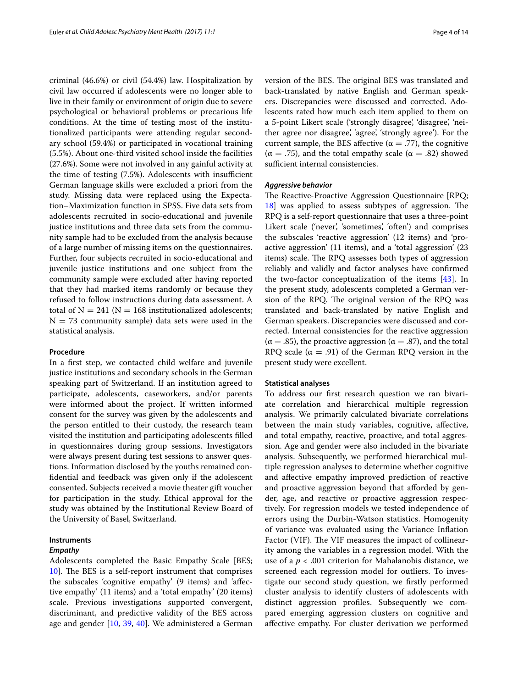criminal (46.6%) or civil (54.4%) law. Hospitalization by civil law occurred if adolescents were no longer able to live in their family or environment of origin due to severe psychological or behavioral problems or precarious life conditions. At the time of testing most of the institutionalized participants were attending regular secondary school (59.4%) or participated in vocational training (5.5%). About one-third visited school inside the facilities (27.6%). Some were not involved in any gainful activity at the time of testing (7.5%). Adolescents with insufficient German language skills were excluded a priori from the study. Missing data were replaced using the Expectation–Maximization function in SPSS. Five data sets from adolescents recruited in socio-educational and juvenile justice institutions and three data sets from the community sample had to be excluded from the analysis because of a large number of missing items on the questionnaires. Further, four subjects recruited in socio-educational and juvenile justice institutions and one subject from the community sample were excluded after having reported that they had marked items randomly or because they refused to follow instructions during data assessment. A total of  $N = 241$  ( $N = 168$  institutionalized adolescents;  $N = 73$  community sample) data sets were used in the statistical analysis.

## **Procedure**

In a first step, we contacted child welfare and juvenile justice institutions and secondary schools in the German speaking part of Switzerland. If an institution agreed to participate, adolescents, caseworkers, and/or parents were informed about the project. If written informed consent for the survey was given by the adolescents and the person entitled to their custody, the research team visited the institution and participating adolescents filled in questionnaires during group sessions. Investigators were always present during test sessions to answer questions. Information disclosed by the youths remained confidential and feedback was given only if the adolescent consented. Subjects received a movie theater gift voucher for participation in the study. Ethical approval for the study was obtained by the Institutional Review Board of the University of Basel, Switzerland.

## **Instruments**

## *Empathy*

Adolescents completed the Basic Empathy Scale [BES; [10\]](#page-12-9). The BES is a self-report instrument that comprises the subscales 'cognitive empathy' (9 items) and 'affective empathy' (11 items) and a 'total empathy' (20 items) scale. Previous investigations supported convergent, discriminant, and predictive validity of the BES across age and gender [\[10](#page-12-9), [39](#page-12-36), [40\]](#page-12-37). We administered a German version of the BES. The original BES was translated and back-translated by native English and German speakers. Discrepancies were discussed and corrected. Adolescents rated how much each item applied to them on a 5-point Likert scale ('strongly disagree', 'disagree', 'neither agree nor disagree', 'agree', 'strongly agree'). For the current sample, the BES affective ( $\alpha = .77$ ), the cognitive  $(α = .75)$ , and the total empathy scale  $(α = .82)$  showed sufficient internal consistencies.

## *Aggressive behavior*

The Reactive-Proactive Aggression Questionnaire [RPQ; [18\]](#page-12-16) was applied to assess subtypes of aggression. The RPQ is a self-report questionnaire that uses a three-point Likert scale ('never', 'sometimes', 'often') and comprises the subscales 'reactive aggression' (12 items) and 'proactive aggression' (11 items), and a 'total aggression' (23 items) scale. The RPQ assesses both types of aggression reliably and validly and factor analyses have confirmed the two-factor conceptualization of the items [[43](#page-12-40)]. In the present study, adolescents completed a German version of the RPQ. The original version of the RPQ was translated and back-translated by native English and German speakers. Discrepancies were discussed and corrected. Internal consistencies for the reactive aggression  $(α = .85)$ , the proactive aggression  $(α = .87)$ , and the total RPQ scale  $(\alpha = .91)$  of the German RPQ version in the present study were excellent.

## **Statistical analyses**

To address our first research question we ran bivariate correlation and hierarchical multiple regression analysis. We primarily calculated bivariate correlations between the main study variables, cognitive, affective, and total empathy, reactive, proactive, and total aggression. Age and gender were also included in the bivariate analysis. Subsequently, we performed hierarchical multiple regression analyses to determine whether cognitive and affective empathy improved prediction of reactive and proactive aggression beyond that afforded by gender, age, and reactive or proactive aggression respectively. For regression models we tested independence of errors using the Durbin-Watson statistics. Homogenity of variance was evaluated using the Variance Inflation Factor (VIF). The VIF measures the impact of collinearity among the variables in a regression model. With the use of a  $p < .001$  criterion for Mahalanobis distance, we screened each regression model for outliers. To investigate our second study question, we firstly performed cluster analysis to identify clusters of adolescents with distinct aggression profiles. Subsequently we compared emerging aggression clusters on cognitive and affective empathy. For cluster derivation we performed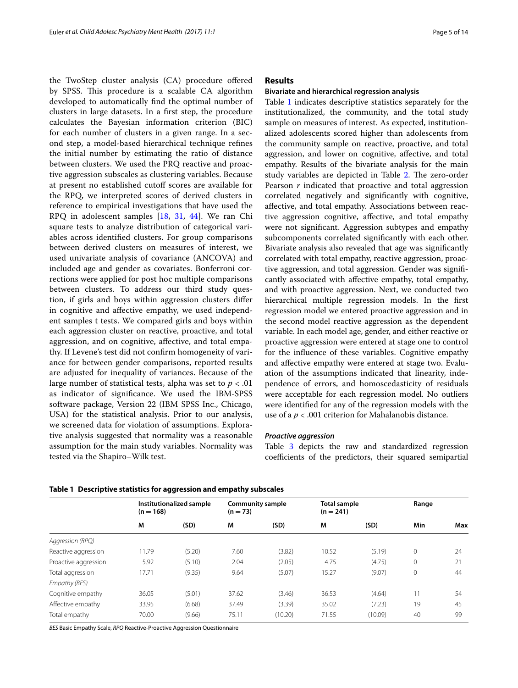the TwoStep cluster analysis (CA) procedure offered by SPSS. This procedure is a scalable CA algorithm developed to automatically find the optimal number of clusters in large datasets. In a first step, the procedure calculates the Bayesian information criterion (BIC) for each number of clusters in a given range. In a second step, a model-based hierarchical technique refines the initial number by estimating the ratio of distance between clusters. We used the PRQ reactive and proactive aggression subscales as clustering variables. Because at present no established cutoff scores are available for the RPQ, we interpreted scores of derived clusters in reference to empirical investigations that have used the RPQ in adolescent samples [[18,](#page-12-16) [31,](#page-12-28) [44\]](#page-12-41). We ran Chi square tests to analyze distribution of categorical variables across identified clusters. For group comparisons between derived clusters on measures of interest, we used univariate analysis of covariance (ANCOVA) and included age and gender as covariates. Bonferroni corrections were applied for post hoc multiple comparisons between clusters. To address our third study question, if girls and boys within aggression clusters differ in cognitive and affective empathy, we used independent samples t tests. We compared girls and boys within each aggression cluster on reactive, proactive, and total aggression, and on cognitive, affective, and total empathy. If Levene's test did not confirm homogeneity of variance for between gender comparisons, reported results are adjusted for inequality of variances. Because of the large number of statistical tests, alpha was set to *p* < .01 as indicator of significance. We used the IBM-SPSS software package, Version 22 (IBM SPSS Inc., Chicago, USA) for the statistical analysis. Prior to our analysis, we screened data for violation of assumptions. Explorative analysis suggested that normality was a reasonable assumption for the main study variables. Normality was tested via the Shapiro–Wilk test.

## **Results**

## **Bivariate and hierarchical regression analysis**

Table [1](#page-4-0) indicates descriptive statistics separately for the institutionalized, the community, and the total study sample on measures of interest. As expected, institutionalized adolescents scored higher than adolescents from the community sample on reactive, proactive, and total aggression, and lower on cognitive, affective, and total empathy. Results of the bivariate analysis for the main study variables are depicted in Table [2](#page-5-0). The zero-order Pearson *r* indicated that proactive and total aggression correlated negatively and significantly with cognitive, affective, and total empathy. Associations between reactive aggression cognitive, affective, and total empathy were not significant. Aggression subtypes and empathy subcomponents correlated significantly with each other. Bivariate analysis also revealed that age was significantly correlated with total empathy, reactive aggression, proactive aggression, and total aggression. Gender was significantly associated with affective empathy, total empathy, and with proactive aggression. Next, we conducted two hierarchical multiple regression models. In the first regression model we entered proactive aggression and in the second model reactive aggression as the dependent variable. In each model age, gender, and either reactive or proactive aggression were entered at stage one to control for the influence of these variables. Cognitive empathy and affective empathy were entered at stage two. Evaluation of the assumptions indicated that linearity, independence of errors, and homoscedasticity of residuals were acceptable for each regression model. No outliers were identified for any of the regression models with the use of a *p* < .001 criterion for Mahalanobis distance.

## *Proactive aggression*

Table [3](#page-5-1) depicts the raw and standardized regression coefficients of the predictors, their squared semipartial

|                      | $(n = 168)$ | Institutionalized sample | <b>Community sample</b><br>$(n = 73)$ |         | Total sample<br>$(n = 241)$ |         | Range        |     |
|----------------------|-------------|--------------------------|---------------------------------------|---------|-----------------------------|---------|--------------|-----|
|                      | M           | (SD)                     | M                                     | (SD)    | М                           | (SD)    | Min          | Max |
| Aggression (RPQ)     |             |                          |                                       |         |                             |         |              |     |
| Reactive aggression  | 11.79       | (5.20)                   | 7.60                                  | (3.82)  | 10.52                       | (5.19)  | $\mathbf 0$  | 24  |
| Proactive aggression | 5.92        | (5.10)                   | 2.04                                  | (2.05)  | 4.75                        | (4.75)  | $\mathbf 0$  | 21  |
| Total aggression     | 17.71       | (9.35)                   | 9.64                                  | (5.07)  | 15.27                       | (9.07)  | $\mathbf{0}$ | 44  |
| Empathy (BES)        |             |                          |                                       |         |                             |         |              |     |
| Cognitive empathy    | 36.05       | (5.01)                   | 37.62                                 | (3.46)  | 36.53                       | (4.64)  | 11           | 54  |
| Affective empathy    | 33.95       | (6.68)                   | 37.49                                 | (3.39)  | 35.02                       | (7.23)  | 19           | 45  |
| Total empathy        | 70.00       | (9.66)                   | 75.11                                 | (10.20) | 71.55                       | (10.09) | 40           | 99  |

<span id="page-4-0"></span>**Table 1 Descriptive statistics for aggression and empathy subscales**

*BES* Basic Empathy Scale, *RPQ* Reactive-Proactive Aggression Questionnaire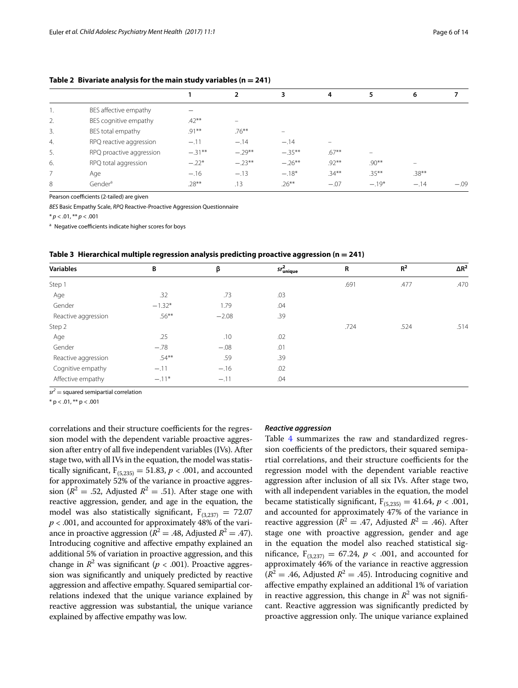## <span id="page-5-0"></span>Table 2 Bivariate analysis for the main study variables  $(n = 241)$

|                  |                          |           | $\overline{2}$ | 3.        | 4        | 5                        | 6                        |        |
|------------------|--------------------------|-----------|----------------|-----------|----------|--------------------------|--------------------------|--------|
| Ι.               | BES affective empathy    |           |                |           |          |                          |                          |        |
| 2.               | BES cognitive empathy    | $.42***$  | -              |           |          |                          |                          |        |
| 3.               | BES total empathy        | $.91***$  | $.76***$       |           |          |                          |                          |        |
| $\overline{4}$ . | RPQ reactive aggression  | $-.11$    | $-.14$         | $-.14$    | -        |                          |                          |        |
| 5.               | RPQ proactive aggression | $-.31***$ | $-.29***$      | $-.35***$ | $.67***$ | $\overline{\phantom{0}}$ |                          |        |
| 6.               | RPQ total aggression     | $-.22*$   | $-.23***$      | $-.26***$ | $.92***$ | $.90**$                  | $\overline{\phantom{0}}$ |        |
| $\overline{7}$   | Age                      | $-.16$    | $-.13$         | $-.18*$   | $.34***$ | $.35***$                 | $.38***$                 |        |
| 8                | Gender <sup>a</sup>      | $.28***$  | .13            | $.26***$  | $-.07$   | $-.19*$                  | $-.14$                   | $-.09$ |
|                  |                          |           |                |           |          |                          |                          |        |

Pearson coefficients (2-tailed) are given

*BES* Basic Empathy Scale, *RPQ* Reactive-Proactive Aggression Questionnaire

 $* n < 01$ ,  $** n < 001$ 

<sup>a</sup> Negative coefficients indicate higher scores for boys

<span id="page-5-1"></span>

|  |  |  |  | Table 3 Hierarchical multiple regression analysis predicting proactive aggression ( $n = 241$ ) |  |
|--|--|--|--|-------------------------------------------------------------------------------------------------|--|
|--|--|--|--|-------------------------------------------------------------------------------------------------|--|

| <b>Variables</b>    | B        | β       | $sr_{\text{unique}}^2$ | R    | R <sup>2</sup> | $\Delta R^2$ |
|---------------------|----------|---------|------------------------|------|----------------|--------------|
| Step 1              |          |         |                        | .691 | .477           | .470         |
| Age                 | .32      | .73     | .03                    |      |                |              |
| Gender              | $-1.32*$ | 1.79    | .04                    |      |                |              |
| Reactive aggression | $.56***$ | $-2.08$ | .39                    |      |                |              |
| Step 2              |          |         |                        | .724 | .524           | .514         |
| Age                 | .25      | .10     | .02                    |      |                |              |
| Gender              | $-.78$   | $-.08$  | .01                    |      |                |              |
| Reactive aggression | $.54***$ | .59     | .39                    |      |                |              |
| Cognitive empathy   | $-.11$   | $-.16$  | .02                    |      |                |              |
| Affective empathy   | $-.11*$  | $-.11$  | .04                    |      |                |              |

 $sr^2$  = squared semipartial correlation

 $*$  p < .01,  $**$  p < .001

correlations and their structure coefficients for the regression model with the dependent variable proactive aggression after entry of all five independent variables (IVs). After stage two, with all IVs in the equation, the model was statistically significant,  $F_{(5,235)} = 51.83$ ,  $p < .001$ , and accounted for approximately 52% of the variance in proactive aggression ( $R^2 = .52$ , Adjusted  $R^2 = .51$ ). After stage one with reactive aggression, gender, and age in the equation, the model was also statistically significant,  $F_{(3,237)} = 72.07$ *p* < .001, and accounted for approximately 48% of the variance in proactive aggression ( $R^2 = .48$ , Adjusted  $R^2 = .47$ ). Introducing cognitive and affective empathy explained an additional 5% of variation in proactive aggression, and this change in  $R^2$  was significant ( $p < .001$ ). Proactive aggression was significantly and uniquely predicted by reactive aggression and affective empathy. Squared semipartial correlations indexed that the unique variance explained by reactive aggression was substantial, the unique variance explained by affective empathy was low.

## *Reactive aggression*

Table [4](#page-6-0) summarizes the raw and standardized regression coefficients of the predictors, their squared semipartial correlations, and their structure coefficients for the regression model with the dependent variable reactive aggression after inclusion of all six IVs. After stage two, with all independent variables in the equation, the model became statistically significant,  $F_{(5,235)} = 41.64$ ,  $p < .001$ , and accounted for approximately 47% of the variance in reactive aggression ( $R^2 = .47$ , Adjusted  $R^2 = .46$ ). After stage one with proactive aggression, gender and age in the equation the model also reached statistical significance,  $F_{(3,237)} = 67.24, p < .001$ , and accounted for approximately 46% of the variance in reactive aggression  $(R^{2} = .46,$  Adjusted  $R^{2} = .45$ ). Introducing cognitive and affective empathy explained an additional 1% of variation in reactive aggression, this change in  $R^2$  was not significant. Reactive aggression was significantly predicted by proactive aggression only. The unique variance explained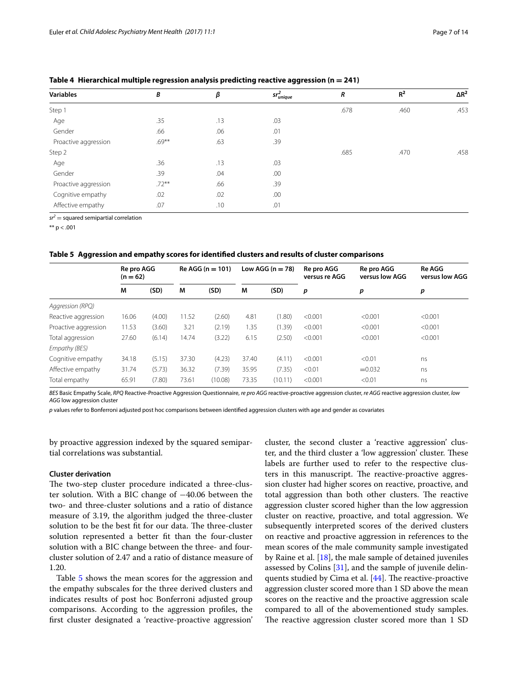| <b>Variables</b>     | B        | β   | S $r_{\mathit{unique}}^2$ | $\boldsymbol{R}$ | R <sup>2</sup> | $\Delta R^2$ |
|----------------------|----------|-----|---------------------------|------------------|----------------|--------------|
| Step 1               |          |     |                           | .678             | .460           | .453         |
| Age                  | .35      | .13 | .03                       |                  |                |              |
| Gender               | .66      | .06 | .01                       |                  |                |              |
| Proactive aggression | $.69***$ | .63 | .39                       |                  |                |              |
| Step 2               |          |     |                           | .685             | .470           | .458         |
| Age                  | .36      | .13 | .03                       |                  |                |              |
| Gender               | .39      | .04 | .00                       |                  |                |              |
| Proactive aggression | $.72***$ | .66 | .39                       |                  |                |              |
| Cognitive empathy    | .02      | .02 | .00                       |                  |                |              |
| Affective empathy    | .07      | .10 | .01                       |                  |                |              |

<span id="page-6-0"></span>**Table 4 Hierarchical multiple regression analysis predicting reactive aggression (n = 241)**

 $sr<sup>2</sup>$  = squared semipartial correlation

\*\*  $p < .001$ 

#### <span id="page-6-1"></span>**Table 5 Aggression and empathy scores for identified clusters and results of cluster comparisons**

|                      | Re pro AGG<br>$(n = 62)$ |        |       | $Re AGG (n = 101)$ |       | Low AGG ( $n = 78$ ) | Re pro AGG<br>versus re AGG | Re pro AGG<br>versus low AGG | <b>Re AGG</b><br>versus low AGG |
|----------------------|--------------------------|--------|-------|--------------------|-------|----------------------|-----------------------------|------------------------------|---------------------------------|
|                      | M                        | (SD)   | M     | (SD)               | M     | (SD)                 | p                           | р                            | p                               |
| Aggression (RPQ)     |                          |        |       |                    |       |                      |                             |                              |                                 |
| Reactive aggression  | 16.06                    | (4.00) | 11.52 | (2.60)             | 4.81  | (1.80)               | < 0.001                     | < 0.001                      | < 0.001                         |
| Proactive aggression | 11.53                    | (3.60) | 3.21  | (2.19)             | 1.35  | (1.39)               | < 0.001                     | < 0.001                      | < 0.001                         |
| Total aggression     | 27.60                    | (6.14) | 14.74 | (3.22)             | 6.15  | (2.50)               | < 0.001                     | < 0.001                      | < 0.001                         |
| Empathy (BES)        |                          |        |       |                    |       |                      |                             |                              |                                 |
| Cognitive empathy    | 34.18                    | (5.15) | 37.30 | (4.23)             | 37.40 | (4.11)               | < 0.001                     | < 0.01                       | ns                              |
| Affective empathy    | 31.74                    | (5.73) | 36.32 | (7.39)             | 35.95 | (7.35)               | < 0.01                      | $= 0.032$                    | ns                              |
| Total empathy        | 65.91                    | (7.80) | 73.61 | (10.08)            | 73.35 | (10.11)              | < 0.001                     | < 0.01                       | ns                              |

*BES* Basic Empathy Scale, *RPQ* Reactive-Proactive Aggression Questionnaire, *re pro AGG* reactive-proactive aggression cluster, *re AGG* reactive aggression cluster, *low AGG* low aggression cluster

*p* values refer to Bonferroni adjusted post hoc comparisons between identified aggression clusters with age and gender as covariates

by proactive aggression indexed by the squared semipartial correlations was substantial.

## **Cluster derivation**

The two-step cluster procedure indicated a three-cluster solution. With a BIC change of −40.06 between the two- and three-cluster solutions and a ratio of distance measure of 3.19, the algorithm judged the three-cluster solution to be the best fit for our data. The three-cluster solution represented a better fit than the four-cluster solution with a BIC change between the three- and fourcluster solution of 2.47 and a ratio of distance measure of 1.20.

Table [5](#page-6-1) shows the mean scores for the aggression and the empathy subscales for the three derived clusters and indicates results of post hoc Bonferroni adjusted group comparisons. According to the aggression profiles, the first cluster designated a 'reactive-proactive aggression' cluster, the second cluster a 'reactive aggression' cluster, and the third cluster a 'low aggression' cluster. These labels are further used to refer to the respective clusters in this manuscript. The reactive-proactive aggression cluster had higher scores on reactive, proactive, and total aggression than both other clusters. The reactive aggression cluster scored higher than the low aggression cluster on reactive, proactive, and total aggression. We subsequently interpreted scores of the derived clusters on reactive and proactive aggression in references to the mean scores of the male community sample investigated by Raine et al. [[18](#page-12-16)], the male sample of detained juveniles assessed by Colins [\[31](#page-12-28)], and the sample of juvenile delinquents studied by Cima et al. [\[44\]](#page-12-41). The reactive-proactive aggression cluster scored more than 1 SD above the mean scores on the reactive and the proactive aggression scale compared to all of the abovementioned study samples. The reactive aggression cluster scored more than 1 SD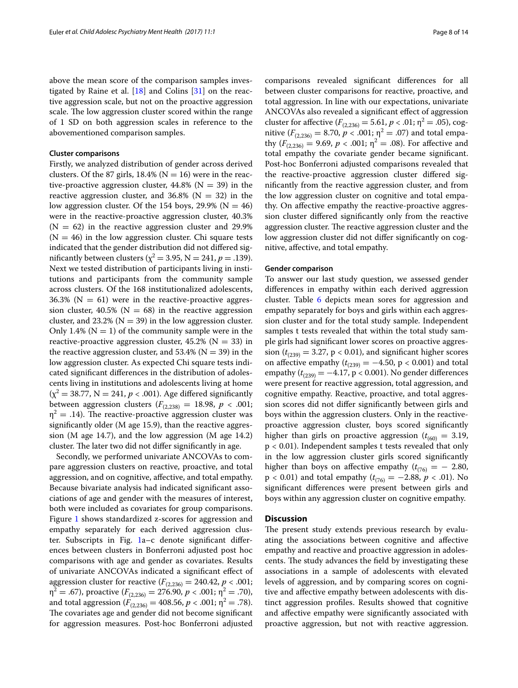above the mean score of the comparison samples investigated by Raine et al.  $[18]$  $[18]$  and Colins  $[31]$  $[31]$  on the reactive aggression scale, but not on the proactive aggression scale. The low aggression cluster scored within the range of 1 SD on both aggression scales in reference to the abovementioned comparison samples.

## **Cluster comparisons**

Firstly, we analyzed distribution of gender across derived clusters. Of the 87 girls, 18.4% ( $N = 16$ ) were in the reactive-proactive aggression cluster,  $44.8\%$  (N = 39) in the reactive aggression cluster, and  $36.8\%$  (N = 32) in the low aggression cluster. Of the 154 boys, 29.9% ( $N = 46$ ) were in the reactive-proactive aggression cluster, 40.3%  $(N = 62)$  in the reactive aggression cluster and 29.9%  $(N = 46)$  in the low aggression cluster. Chi square tests indicated that the gender distribution did not differed significantly between clusters ( $\chi^2$  = 3.95, N = 241, *p* = .139). Next we tested distribution of participants living in institutions and participants from the community sample across clusters. Of the 168 institutionalized adolescents, 36.3% ( $N = 61$ ) were in the reactive-proactive aggression cluster, 40.5% ( $N = 68$ ) in the reactive aggression cluster, and  $23.2\%$  (N = 39) in the low aggression cluster. Only 1.4% ( $N = 1$ ) of the community sample were in the reactive-proactive aggression cluster,  $45.2\%$  (N = 33) in the reactive aggression cluster, and  $53.4\%$  (N = 39) in the low aggression cluster. As expected Chi square tests indicated significant differences in the distribution of adolescents living in institutions and adolescents living at home  $(\chi^2 = 38.77, N = 241, p < .001)$ . Age differed significantly between aggression clusters  $(F_{(2,238)} = 18.98, p < .001;$  $\eta^2 = .14$ ). The reactive-proactive aggression cluster was significantly older (M age 15.9), than the reactive aggression (M age 14.7), and the low aggression (M age 14.2) cluster. The later two did not differ significantly in age.

Secondly, we performed univariate ANCOVAs to compare aggression clusters on reactive, proactive, and total aggression, and on cognitive, affective, and total empathy. Because bivariate analysis had indicated significant associations of age and gender with the measures of interest, both were included as covariates for group comparisons. Figure [1](#page-8-0) shows standardized z-scores for aggression and empathy separately for each derived aggression cluster. Subscripts in Fig. [1](#page-8-0)a–c denote significant differences between clusters in Bonferroni adjusted post hoc comparisons with age and gender as covariates. Results of univariate ANCOVAs indicated a significant effect of aggression cluster for reactive  $(F_{(2,236)} = 240.42, p < .001;$  $\eta^2 = .67$ ), proactive  $(F_{(2,236)} = 276.90, p < .001; \eta^2 = .70)$ , and total aggression ( $F_{(2,236)} = 408.56$ ,  $p < .001$ ;  $\eta^2 = .78$ ). The covariates age and gender did not become significant for aggression measures. Post-hoc Bonferroni adjusted

comparisons revealed significant differences for all between cluster comparisons for reactive, proactive, and total aggression. In line with our expectations, univariate ANCOVAs also revealed a significant effect of aggression cluster for affective  $(F_{(2,236)} = 5.61, p < .01; \eta^2 = .05)$ , cognitive ( $F_{(2,236)} = 8.70, p < .001; \eta^2 = .07$ ) and total empathy  $(F_{(2,236)} = 9.69, p < .001; \eta^2 = .08)$ . For affective and total empathy the covariate gender became significant. Post-hoc Bonferroni adjusted comparisons revealed that the reactive-proactive aggression cluster differed significantly from the reactive aggression cluster, and from the low aggression cluster on cognitive and total empathy. On affective empathy the reactive-proactive aggression cluster differed significantly only from the reactive aggression cluster. The reactive aggression cluster and the low aggression cluster did not differ significantly on cognitive, affective, and total empathy.

## **Gender comparison**

To answer our last study question, we assessed gender differences in empathy within each derived aggression cluster. Table [6](#page-9-0) depicts mean sores for aggression and empathy separately for boys and girls within each aggression cluster and for the total study sample. Independent samples t tests revealed that within the total study sample girls had significant lower scores on proactive aggression ( $t_{(239)} = 3.27$ , p < 0.01), and significant higher scores on affective empathy  $(t_{(239)} = -4.50, p < 0.001)$  and total empathy  $(t_{(239)} = -4.17, p < 0.001)$ . No gender differences were present for reactive aggression, total aggression, and cognitive empathy. Reactive, proactive, and total aggression scores did not differ significantly between girls and boys within the aggression clusters. Only in the reactiveproactive aggression cluster, boys scored significantly higher than girls on proactive aggression ( $t_{(60)} = 3.19$ , p < 0.01). Independent samples t tests revealed that only in the low aggression cluster girls scored significantly higher than boys on affective empathy  $(t_{(76)} = -2.80,$  $p < 0.01$ ) and total empathy ( $t_{(76)} = -2.88$ ,  $p < .01$ ). No significant differences were present between girls and boys within any aggression cluster on cognitive empathy.

## **Discussion**

The present study extends previous research by evaluating the associations between cognitive and affective empathy and reactive and proactive aggression in adolescents. The study advances the field by investigating these associations in a sample of adolescents with elevated levels of aggression, and by comparing scores on cognitive and affective empathy between adolescents with distinct aggression profiles. Results showed that cognitive and affective empathy were significantly associated with proactive aggression, but not with reactive aggression.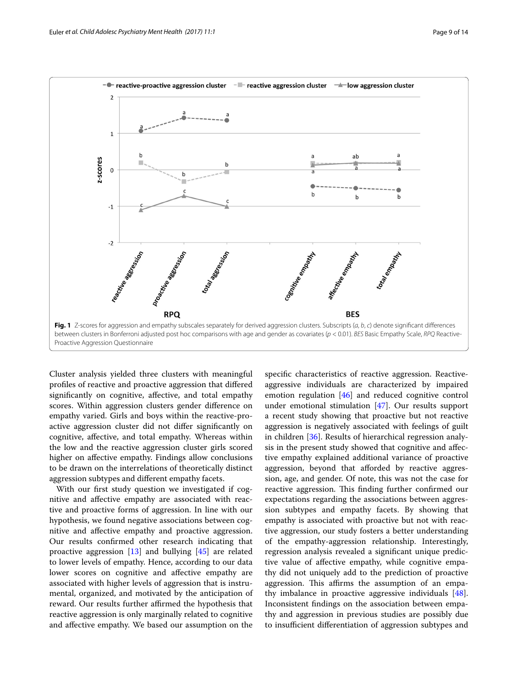

<span id="page-8-0"></span>Cluster analysis yielded three clusters with meaningful profiles of reactive and proactive aggression that differed significantly on cognitive, affective, and total empathy scores. Within aggression clusters gender difference on empathy varied. Girls and boys within the reactive-proactive aggression cluster did not differ significantly on cognitive, affective, and total empathy. Whereas within the low and the reactive aggression cluster girls scored higher on affective empathy. Findings allow conclusions to be drawn on the interrelations of theoretically distinct aggression subtypes and different empathy facets.

With our first study question we investigated if cognitive and affective empathy are associated with reactive and proactive forms of aggression. In line with our hypothesis, we found negative associations between cognitive and affective empathy and proactive aggression. Our results confirmed other research indicating that proactive aggression  $[13]$  $[13]$  and bullying  $[45]$  $[45]$  are related to lower levels of empathy. Hence, according to our data lower scores on cognitive and affective empathy are associated with higher levels of aggression that is instrumental, organized, and motivated by the anticipation of reward. Our results further affirmed the hypothesis that reactive aggression is only marginally related to cognitive and affective empathy. We based our assumption on the

specific characteristics of reactive aggression. Reactiveaggressive individuals are characterized by impaired emotion regulation [[46\]](#page-12-43) and reduced cognitive control under emotional stimulation [[47\]](#page-12-44). Our results support a recent study showing that proactive but not reactive aggression is negatively associated with feelings of guilt in children [[36\]](#page-12-33). Results of hierarchical regression analysis in the present study showed that cognitive and affective empathy explained additional variance of proactive aggression, beyond that afforded by reactive aggression, age, and gender. Of note, this was not the case for reactive aggression. This finding further confirmed our expectations regarding the associations between aggression subtypes and empathy facets. By showing that empathy is associated with proactive but not with reactive aggression, our study fosters a better understanding of the empathy-aggression relationship. Interestingly, regression analysis revealed a significant unique predictive value of affective empathy, while cognitive empathy did not uniquely add to the prediction of proactive aggression. This affirms the assumption of an empathy imbalance in proactive aggressive individuals [\[48](#page-12-45)]. Inconsistent findings on the association between empathy and aggression in previous studies are possibly due to insufficient differentiation of aggression subtypes and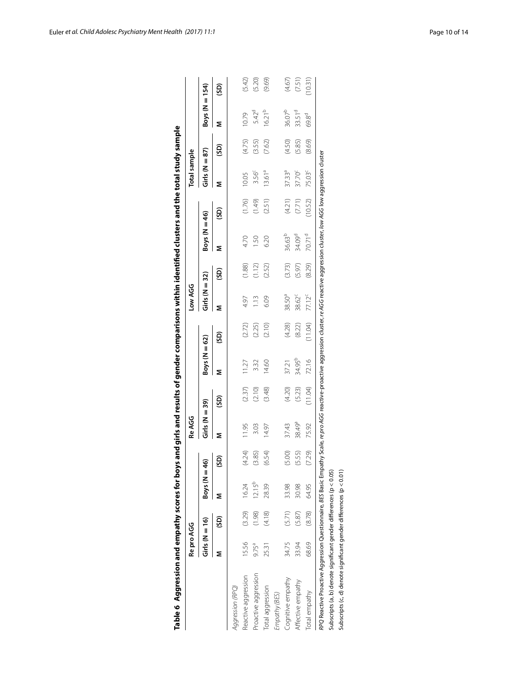|                                                                                                                                                                                                           | Re pro AGG        |        |                        |        | Re AGG             |         |                    |         | Low AGG            |        |                    |          | Total sample       |        |                    |         |
|-----------------------------------------------------------------------------------------------------------------------------------------------------------------------------------------------------------|-------------------|--------|------------------------|--------|--------------------|---------|--------------------|---------|--------------------|--------|--------------------|----------|--------------------|--------|--------------------|---------|
|                                                                                                                                                                                                           | $Girls(M = 16)$   |        | $\text{Boys}$ (N $=$ 4 | ទ្ន    | $Girls(N=39)$      |         | Boys ( $N = 62$ )  |         | $Girls (N = 32)$   |        | Boys ( $N = 46$ )  |          | $Girls$ (N = 87)   |        | Boys ( $N = 154$ ) |         |
|                                                                                                                                                                                                           |                   | (SD)   |                        | (SD)   | Σ                  | (GS)    | Σ                  | (GS)    | Σ                  | (SD)   | Σ                  | (GS)     | Σ                  | (SD)   | Σ                  | (GS)    |
| Aggression (RPQ)                                                                                                                                                                                          |                   |        |                        |        |                    |         |                    |         |                    |        |                    |          |                    |        |                    |         |
| Reactive aggression                                                                                                                                                                                       | 15.56             | (3.29) | 16.24                  | (4.24) | 11.95              | (2.37)  | 11.27              | (2.72)  | 4.97               | (1.88) | 4.70               | (1.76)   | 10.05              | (4.75) | 10.79              | (5.42)  |
| Proactive aggression                                                                                                                                                                                      | 9.75 <sup>a</sup> | (1.98) | 12.15 <sup>b</sup>     | (3.85) | 3.03               | (2.10)  | 3.32               | (2.25)  | 1.13               | (1.12) | 1.50               | (1.49)   | 3.56 <sup>c</sup>  | (3.55) | 5.42 <sup>d</sup>  | (5.20)  |
| Total aggression                                                                                                                                                                                          | 25.31             | (4.18) | 28.39                  | (6.54) | 14.97              | (3.48)  | 14.60              | (2.10)  | 6.09               | (2.52) | 6.20               | (2.51)   | 13.61 <sup>a</sup> | (7.62) | $16.21^{b}$        | (9.69)  |
| Empathy (BES)                                                                                                                                                                                             |                   |        |                        |        |                    |         |                    |         |                    |        |                    |          |                    |        |                    |         |
| Cognitive empathy                                                                                                                                                                                         | 34.75             | (5.71) | 33.98                  | (5.00) | 37.43              | (4.20)  | 37.21              | (4.28)  | 38.50 <sup>a</sup> | (3.73) | 36.63b             | (4.21)   | 37.33 <sup>a</sup> | (4.50) | 36.07 <sup>b</sup> | (4.67)  |
| Affective empathy                                                                                                                                                                                         | 33.94             | (5.87) | 30.98                  | (5.55) | 38.49 <sup>a</sup> | (5.23)  | 34.95 <sup>b</sup> | (8.22)  | 38.62°             | (5.97) | 34.09 <sup>d</sup> | $(7.71)$ | 37.70 <sup>c</sup> | (5.85) | 33.51 <sup>d</sup> | (7.51)  |
| Total empathy                                                                                                                                                                                             | 68.69             | (8.78) | 64.95                  | (7.29) | 75.92              | (11.04) | 72.16              | (11.04) | 77.12 <sup>c</sup> | (8.29) | 70.71 <sup>d</sup> | (10.52)  | 75.03 <sup>c</sup> | (8.69) | 69.8 <sup>d</sup>  | (10.31) |
| <i>RPQ</i> Reactive Proactive Aggression Questionnaire, <i>BES</i> Basic Empathy Scale, re pro AGG reactive aggression cluster, re AGG reactive aggression cluster, <i>low</i> AGG low aggression cluster |                   |        |                        |        |                    |         |                    |         |                    |        |                    |          |                    |        |                    |         |
| Subscripts (a, b) denote significant gender differences (p < 0.05)                                                                                                                                        |                   |        |                        |        |                    |         |                    |         |                    |        |                    |          |                    |        |                    |         |
| Subscripts $(c, d)$ denote significant gender differences ( $p < 0.01$ )                                                                                                                                  |                   |        |                        |        |                    |         |                    |         |                    |        |                    |          |                    |        |                    |         |

<span id="page-9-0"></span>

| J      |
|--------|
| ׇ֠     |
|        |
|        |
| י      |
|        |
| 1      |
| l      |
|        |
| j      |
| i<br>l |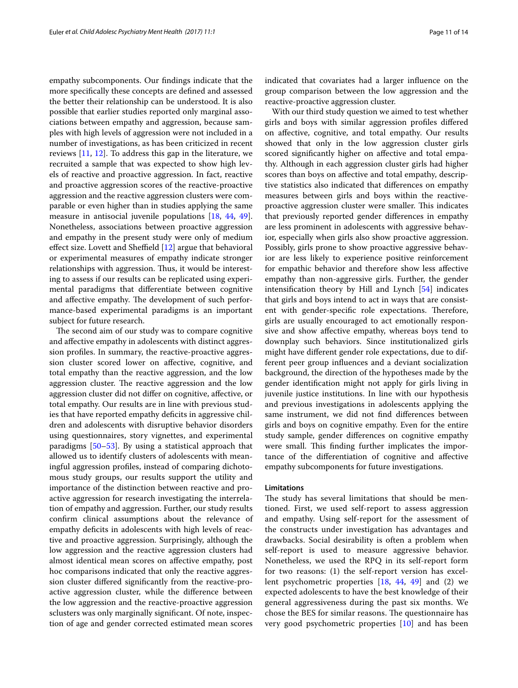empathy subcomponents. Our findings indicate that the more specifically these concepts are defined and assessed the better their relationship can be understood. It is also possible that earlier studies reported only marginal associations between empathy and aggression, because samples with high levels of aggression were not included in a number of investigations, as has been criticized in recent reviews [[11,](#page-12-10) [12\]](#page-12-11). To address this gap in the literature, we recruited a sample that was expected to show high levels of reactive and proactive aggression. In fact, reactive and proactive aggression scores of the reactive-proactive aggression and the reactive aggression clusters were comparable or even higher than in studies applying the same measure in antisocial juvenile populations [[18,](#page-12-16) [44,](#page-12-41) [49](#page-12-46)]. Nonetheless, associations between proactive aggression and empathy in the present study were only of medium effect size. Lovett and Sheffield [[12\]](#page-12-11) argue that behavioral or experimental measures of empathy indicate stronger relationships with aggression. Thus, it would be interesting to assess if our results can be replicated using experimental paradigms that differentiate between cognitive and affective empathy. The development of such performance-based experimental paradigms is an important subject for future research.

The second aim of our study was to compare cognitive and affective empathy in adolescents with distinct aggression profiles. In summary, the reactive-proactive aggression cluster scored lower on affective, cognitive, and total empathy than the reactive aggression, and the low aggression cluster. The reactive aggression and the low aggression cluster did not differ on cognitive, affective, or total empathy. Our results are in line with previous studies that have reported empathy deficits in aggressive children and adolescents with disruptive behavior disorders using questionnaires, story vignettes, and experimental paradigms [[50](#page-12-47)[–53](#page-13-0)]. By using a statistical approach that allowed us to identify clusters of adolescents with meaningful aggression profiles, instead of comparing dichotomous study groups, our results support the utility and importance of the distinction between reactive and proactive aggression for research investigating the interrelation of empathy and aggression. Further, our study results confirm clinical assumptions about the relevance of empathy deficits in adolescents with high levels of reactive and proactive aggression. Surprisingly, although the low aggression and the reactive aggression clusters had almost identical mean scores on affective empathy, post hoc comparisons indicated that only the reactive aggression cluster differed significantly from the reactive-proactive aggression cluster, while the difference between the low aggression and the reactive-proactive aggression sclusters was only marginally significant. Of note, inspection of age and gender corrected estimated mean scores indicated that covariates had a larger influence on the group comparison between the low aggression and the reactive-proactive aggression cluster.

With our third study question we aimed to test whether girls and boys with similar aggression profiles differed on affective, cognitive, and total empathy. Our results showed that only in the low aggression cluster girls scored significantly higher on affective and total empathy. Although in each aggression cluster girls had higher scores than boys on affective and total empathy, descriptive statistics also indicated that differences on empathy measures between girls and boys within the reactiveproactive aggression cluster were smaller. This indicates that previously reported gender differences in empathy are less prominent in adolescents with aggressive behavior, especially when girls also show proactive aggression. Possibly, girls prone to show proactive aggressive behavior are less likely to experience positive reinforcement for empathic behavior and therefore show less affective empathy than non-aggressive girls. Further, the gender intensification theory by Hill and Lynch [[54\]](#page-13-1) indicates that girls and boys intend to act in ways that are consistent with gender-specific role expectations. Therefore, girls are usually encouraged to act emotionally responsive and show affective empathy, whereas boys tend to downplay such behaviors. Since institutionalized girls might have different gender role expectations, due to different peer group influences and a deviant socialization background, the direction of the hypotheses made by the gender identification might not apply for girls living in juvenile justice institutions. In line with our hypothesis and previous investigations in adolescents applying the same instrument, we did not find differences between girls and boys on cognitive empathy. Even for the entire study sample, gender differences on cognitive empathy were small. This finding further implicates the importance of the differentiation of cognitive and affective empathy subcomponents for future investigations.

## **Limitations**

The study has several limitations that should be mentioned. First, we used self-report to assess aggression and empathy. Using self-report for the assessment of the constructs under investigation has advantages and drawbacks. Social desirability is often a problem when self-report is used to measure aggressive behavior. Nonetheless, we used the RPQ in its self-report form for two reasons: (1) the self-report version has excellent psychometric properties [[18](#page-12-16), [44,](#page-12-41) [49\]](#page-12-46) and (2) we expected adolescents to have the best knowledge of their general aggressiveness during the past six months. We chose the BES for similar reasons. The questionnaire has very good psychometric properties [[10\]](#page-12-9) and has been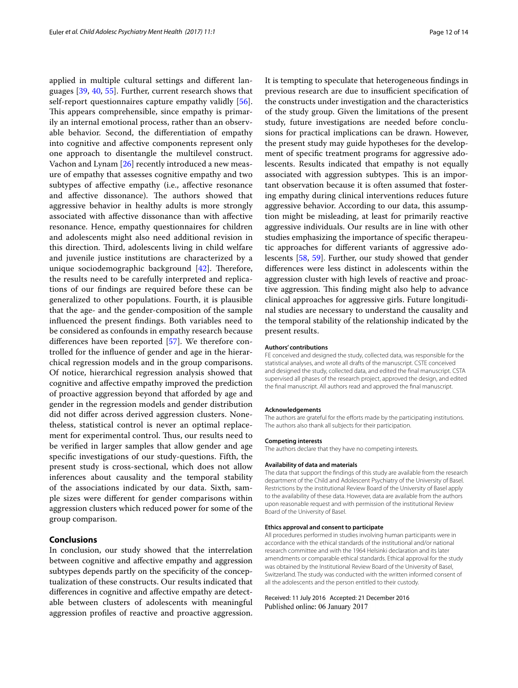applied in multiple cultural settings and different languages [[39,](#page-12-36) [40,](#page-12-37) [55\]](#page-13-2). Further, current research shows that self-report questionnaires capture empathy validly [\[56](#page-13-3)]. This appears comprehensible, since empathy is primarily an internal emotional process, rather than an observable behavior. Second, the differentiation of empathy into cognitive and affective components represent only one approach to disentangle the multilevel construct. Vachon and Lynam [\[26](#page-12-23)] recently introduced a new measure of empathy that assesses cognitive empathy and two subtypes of affective empathy (i.e., affective resonance and affective dissonance). The authors showed that aggressive behavior in healthy adults is more strongly associated with affective dissonance than with affective resonance. Hence, empathy questionnaires for children and adolescents might also need additional revision in this direction. Third, adolescents living in child welfare and juvenile justice institutions are characterized by a unique sociodemographic background [[42\]](#page-12-39). Therefore, the results need to be carefully interpreted and replications of our findings are required before these can be generalized to other populations. Fourth, it is plausible that the age- and the gender-composition of the sample influenced the present findings. Both variables need to be considered as confounds in empathy research because differences have been reported [[57\]](#page-13-4). We therefore controlled for the influence of gender and age in the hierarchical regression models and in the group comparisons. Of notice, hierarchical regression analysis showed that cognitive and affective empathy improved the prediction of proactive aggression beyond that afforded by age and gender in the regression models and gender distribution did not differ across derived aggression clusters. Nonetheless, statistical control is never an optimal replacement for experimental control. Thus, our results need to be verified in larger samples that allow gender and age specific investigations of our study-questions. Fifth, the present study is cross-sectional, which does not allow inferences about causality and the temporal stability of the associations indicated by our data. Sixth, sample sizes were different for gender comparisons within aggression clusters which reduced power for some of the group comparison.

## **Conclusions**

In conclusion, our study showed that the interrelation between cognitive and affective empathy and aggression subtypes depends partly on the specificity of the conceptualization of these constructs. Our results indicated that differences in cognitive and affective empathy are detectable between clusters of adolescents with meaningful aggression profiles of reactive and proactive aggression. It is tempting to speculate that heterogeneous findings in previous research are due to insufficient specification of the constructs under investigation and the characteristics of the study group. Given the limitations of the present study, future investigations are needed before conclusions for practical implications can be drawn. However, the present study may guide hypotheses for the development of specific treatment programs for aggressive adolescents. Results indicated that empathy is not equally associated with aggression subtypes. This is an important observation because it is often assumed that fostering empathy during clinical interventions reduces future aggressive behavior. According to our data, this assumption might be misleading, at least for primarily reactive aggressive individuals. Our results are in line with other studies emphasizing the importance of specific therapeutic approaches for different variants of aggressive adolescents [[58](#page-13-5), [59\]](#page-13-6). Further, our study showed that gender differences were less distinct in adolescents within the aggression cluster with high levels of reactive and proactive aggression. This finding might also help to advance clinical approaches for aggressive girls. Future longitudinal studies are necessary to understand the causality and the temporal stability of the relationship indicated by the present results.

#### **Authors' contributions**

FE conceived and designed the study, collected data, was responsible for the statistical analyses, and wrote all drafts of the manuscript. CSTE conceived and designed the study, collected data, and edited the final manuscript. CSTA supervised all phases of the research project, approved the design, and edited the final manuscript. All authors read and approved the final manuscript.

#### **Acknowledgements**

The authors are grateful for the efforts made by the participating institutions. The authors also thank all subjects for their participation.

#### **Competing interests**

The authors declare that they have no competing interests.

#### **Availability of data and materials**

The data that support the findings of this study are available from the research department of the Child and Adolescent Psychiatry of the University of Basel. Restrictions by the institutional Review Board of the University of Basel apply to the availability of these data. However, data are available from the authors upon reasonable request and with permission of the institutional Review Board of the University of Basel.

#### **Ethics approval and consent to participate**

All procedures performed in studies involving human participants were in accordance with the ethical standards of the institutional and/or national research committee and with the 1964 Helsinki declaration and its later amendments or comparable ethical standards. Ethical approval for the study was obtained by the Institutional Review Board of the University of Basel, Switzerland. The study was conducted with the written informed consent of all the adolescents and the person entitled to their custody.

## Received: 11 July 2016 Accepted: 21 December 2016Published online: 06 January 2017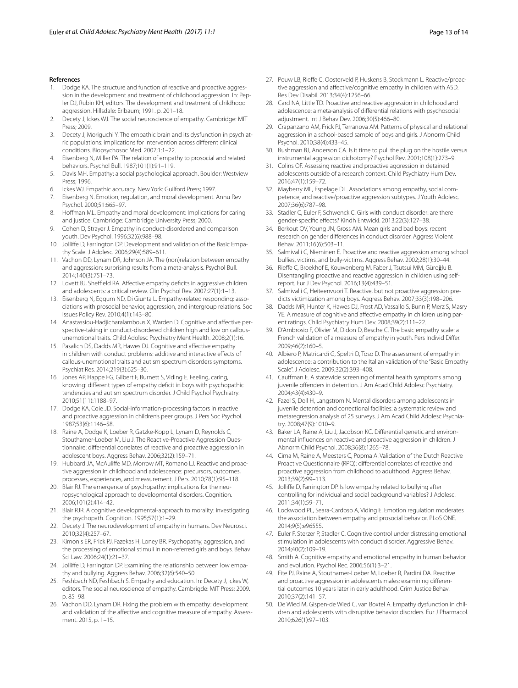#### **References**

- <span id="page-12-0"></span>1. Dodge KA. The structure and function of reactive and proactive aggression in the development and treatment of childhood aggression. In: Pepler DJ, Rubin KH, editors. The development and treatment of childhood aggression. Hillsdale: Erlbaum; 1991. p. 201–18.
- <span id="page-12-1"></span>2. Decety J, Ickes WJ. The social neuroscience of empathy. Cambridge: MIT Press; 2009.
- <span id="page-12-2"></span>3. Decety J, Moriguchi Y. The empathic brain and its dysfunction in psychiatric populations: implications for intervention across different clinical conditions. Biopsychosoc Med. 2007;1:1–22.
- <span id="page-12-3"></span>4. Eisenberg N, Miller PA. The relation of empathy to prosocial and related behaviors. Psychol Bull. 1987;101(1):91–119.
- <span id="page-12-4"></span>5. Davis MH. Empathy: a social psychological approach. Boulder: Westview Press; 1996.
- <span id="page-12-5"></span>6. Ickes WJ. Empathic accuracy. New York: Guilford Press; 1997.
- <span id="page-12-6"></span>7. Eisenberg N. Emotion, regulation, and moral development. Annu Rev Psychol. 2000;51:665–97.
- <span id="page-12-7"></span>8. Hoffman ML. Empathy and moral development: Implications for caring and justice. Cambridge: Cambridge University Press; 2000.
- <span id="page-12-8"></span>9. Cohen D, Strayer J. Empathy in conduct-disordered and comparison youth. Dev Psychol. 1996;32(6):988–98.
- <span id="page-12-9"></span>10. Jolliffe D, Farrington DP. Development and validation of the Basic Empathy Scale. J Adolesc. 2006;29(4):589–611.
- <span id="page-12-10"></span>11. Vachon DD, Lynam DR, Johnson JA. The (non)relation between empathy and aggression: surprising results from a meta-analysis. Psychol Bull. 2014;140(3):751–73.
- <span id="page-12-11"></span>12. Lovett BJ, Sheffield RA. Affective empathy deficits in aggressive children and adolescents: a critical review. Clin Psychol Rev. 2007;27(1):1–13.
- <span id="page-12-12"></span>13. Eisenberg N, Eggum ND, Di Giunta L. Empathy-related responding: associations with prosocial behavior, aggression, and intergroup relations. Soc Issues Policy Rev. 2010;4(1):143–80.
- <span id="page-12-13"></span>14. Anastassiou-Hadjicharalambous X, Warden D. Cognitive and affective perspective-taking in conduct-disordered children high and low on callousunemotional traits. Child Adolesc Psychiatry Ment Health. 2008;2(1):16.
- 15. Pasalich DS, Dadds MR, Hawes DJ. Cognitive and affective empathy in children with conduct problems: additive and interactive effects of callous-unemotional traits and autism spectrum disorders symptoms. Psychiat Res. 2014;219(3):625–30.
- <span id="page-12-14"></span>16. Jones AP, Happe FG, Gilbert F, Burnett S, Viding E. Feeling, caring, knowing: different types of empathy deficit in boys with psychopathic tendencies and autism spectrum disorder. J Child Psychol Psychiatry. 2010;51(11):1188–97.
- <span id="page-12-15"></span>17. Dodge KA, Coie JD. Social-information-processing factors in reactive and proactive aggression in children's peer groups. J Pers Soc Psychol. 1987;53(6):1146–58.
- <span id="page-12-16"></span>18. Raine A, Dodge K, Loeber R, Gatzke-Kopp L, Lynam D, Reynolds C, Stouthamer-Loeber M, Liu J. The Reactive-Proactive Aggression Questionnaire: differential correlates of reactive and proactive aggression in adolescent boys. Aggress Behav. 2006;32(2):159–71.
- <span id="page-12-17"></span>19. Hubbard JA, McAuliffe MD, Morrow MT, Romano LJ. Reactive and proactive aggression in childhood and adolescence: precursors, outcomes, processes, experiences, and measurement. J Pers. 2010;78(1):95–118.
- <span id="page-12-18"></span>20. Blair RJ. The emergence of psychopathy: implications for the neuropsychological approach to developmental disorders. Cognition. 2006;101(2):414–42.
- 21. Blair RJR. A cognitive developmental-approach to morality: investigating the psychopath. Cognition. 1995;57(1):1–29.
- <span id="page-12-19"></span>22. Decety J. The neurodevelopment of empathy in humans. Dev Neurosci. 2010;32(4):257–67.
- <span id="page-12-20"></span>23. Kimonis ER, Frick PJ, Fazekas H, Loney BR. Psychopathy, aggression, and the processing of emotional stimuli in non-referred girls and boys. Behav Sci Law. 2006;24(1):21–37.
- <span id="page-12-21"></span>24. Jolliffe D, Farrington DP. Examining the relationship between low empathy and bullying. Aggress Behav. 2006;32(6):540–50.
- <span id="page-12-22"></span>25. Feshbach ND, Feshbach S. Empathy and education. In: Decety J, Ickes W, editors. The social neuroscience of empathy. Cambrigde: MIT Press; 2009. p. 85–98.
- <span id="page-12-23"></span>26. Vachon DD, Lynam DR. Fixing the problem with empathy: development and validation of the affective and cognitive measure of empathy. Assessment. 2015, p. 1–15.
- <span id="page-12-24"></span>27. Pouw LB, Rieffe C, Oosterveld P, Huskens B, Stockmann L. Reactive/proactive aggression and affective/cognitive empathy in children with ASD. Res Dev Disabil. 2013;34(4):1256–66.
- <span id="page-12-25"></span>28. Card NA, Little TD. Proactive and reactive aggression in childhood and adolescence: a meta-analysis of differential relations with psychosocial adjustment. Int J Behav Dev. 2006;30(5):466–80.
- <span id="page-12-26"></span>29. Crapanzano AM, Frick PJ, Terranova AM. Patterns of physical and relational aggression in a school-based sample of boys and girls. J Abnorm Child Psychol. 2010;38(4):433–45.
- <span id="page-12-27"></span>30. Bushman BJ, Anderson CA. Is it time to pull the plug on the hostile versus instrumental aggression dichotomy? Psychol Rev. 2001;108(1):273–9.
- <span id="page-12-28"></span>31. Colins OF. Assessing reactive and proactive aggression in detained adolescents outside of a research context. Child Psychiatry Hum Dev. 2016;47(1):159–72.
- <span id="page-12-29"></span>32. Mayberry ML, Espelage DL. Associations among empathy, social competence, and reactive/proactive aggression subtypes. J Youth Adolesc. 2007;36(6):787–98.
- <span id="page-12-30"></span>33. Stadler C, Euler F, Schwenck C. Girls with conduct disorder: are there gender-specific effects? Kindh Entwickl. 2013;22(3):127–38.
- <span id="page-12-31"></span>34. Berkout OV, Young JN, Gross AM. Mean girls and bad boys: recent research on gender differences in conduct disorder. Aggress Violent Behav. 2011;16(6):503–11.
- <span id="page-12-32"></span>35. Salmivalli C, Nieminen E. Proactive and reactive aggression among school bullies, victims, and bully-victims. Aggress Behav. 2002;28(1):30–44.
- <span id="page-12-33"></span>36. Rieffe C, Broekhof E, Kouwenberg M, Faber J, Tsutsui MM, Güroğlu B. Disentangling proactive and reactive aggression in children using selfreport. Eur J Dev Psychol. 2016;13(4):439–51.
- <span id="page-12-34"></span>37. Salmivalli C, Heiteenvuori T. Reactive, but not proactive aggression predicts victimization among boys. Aggress Behav. 2007;33(3):198–206.
- <span id="page-12-35"></span>38. Dadds MR, Hunter K, Hawes DJ, Frost AD, Vassallo S, Bunn P, Merz S, Masry YE. A measure of cognitive and affective empathy in children using parent ratings. Child Psychiatry Hum Dev. 2008;39(2):111–22.
- <span id="page-12-36"></span>39. D'Ambrosio F, Olivier M, Didon D, Besche C. The basic empathy scale: a French validation of a measure of empathy in youth. Pers Individ Differ. 2009;46(2):160–5.
- <span id="page-12-37"></span>40. Albiero P, Matricardi G, Speltri D, Toso D. The assessment of empathy in adolescence: a contribution to the Italian validation of the "Basic Empathy Scale". J Adolesc. 2009;32(2):393–408.
- <span id="page-12-38"></span>41. Cauffman E. A statewide screening of mental health symptoms among juvenile offenders in detention. J Am Acad Child Adolesc Psychiatry. 2004;43(4):430–9.
- <span id="page-12-39"></span>42. Fazel S, Doll H, Langstrom N. Mental disorders among adolescents in juvenile detention and correctional facilities: a systematic review and metaregression analysis of 25 surveys. J Am Acad Child Adolesc Psychiatry. 2008;47(9):1010–9.
- <span id="page-12-40"></span>43. Baker LA, Raine A, Liu J, Jacobson KC. Differential genetic and environmental influences on reactive and proactive aggression in children. J Abnorm Child Psychol. 2008;36(8):1265–78.
- <span id="page-12-41"></span>44. Cima M, Raine A, Meesters C, Popma A. Validation of the Dutch Reactive Proactive Questionnaire (RPQ): differential correlates of reactive and proactive aggression from childhood to adulthood. Aggress Behav. 2013;39(2):99–113.
- <span id="page-12-42"></span>45. Jolliffe D, Farrington DP. Is low empathy related to bullying after controlling for individual and social background variables? J Adolesc. 2011;34(1):59–71.
- <span id="page-12-43"></span>46. Lockwood PL, Seara-Cardoso A, Viding E. Emotion regulation moderates the association between empathy and prosocial behavior. PLoS ONE. 2014;9(5):e96555.
- <span id="page-12-44"></span>47. Euler F, Sterzer P, Stadler C. Cognitive control under distressing emotional stimulation in adolescents with conduct disorder. Aggressive Behav. 2014;40(2):109–19.
- <span id="page-12-45"></span>48. Smith A. Cognitive empathy and emotional empathy in human behavior and evolution. Psychol Rec. 2006;56(1):3–21.
- <span id="page-12-46"></span>49. Fite PJ, Raine A, Stouthamer-Loeber M, Loeber R, Pardini DA. Reactive and proactive aggression in adolescents males: examining differential outcomes 10 years later in early adulthood. Crim Justice Behav. 2010;37(2):141–57.
- <span id="page-12-47"></span>50. De Wied M, Gispen-de Wied C, van Boxtel A. Empathy dysfunction in children and adolescents with disruptive behavior disorders. Eur J Pharmacol. 2010;626(1):97–103.